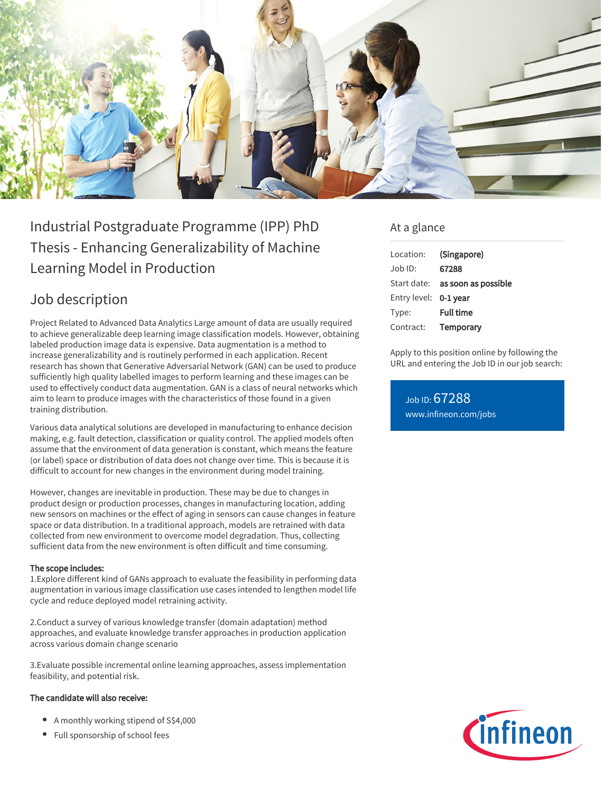

# Industrial Postgraduate Programme (IPP) PhD Thesis - Enhancing Generalizability of Machine Learning Model in Production

## Job description

Project Related to Advanced Data Analytics Large amount of data are usually required to achieve generalizable deep learning image classification models. However, obtaining labeled production image data is expensive. Data augmentation is a method to increase generalizability and is routinely performed in each application. Recent research has shown that Generative Adversarial Network (GAN) can be used to produce sufficiently high quality labelled images to perform learning and these images can be used to effectively conduct data augmentation. GAN is a class of neural networks which aim to learn to produce images with the characteristics of those found in a given training distribution.

Various data analytical solutions are developed in manufacturing to enhance decision making, e.g. fault detection, classification or quality control. The applied models often assume that the environment of data generation is constant, which means the feature (or label) space or distribution of data does not change over time. This is because it is difficult to account for new changes in the environment during model training.

However, changes are inevitable in production. These may be due to changes in product design or production processes, changes in manufacturing location, adding new sensors on machines or the effect of aging in sensors can cause changes in feature space or data distribution. In a traditional approach, models are retrained with data collected from new environment to overcome model degradation. Thus, collecting sufficient data from the new environment is often difficult and time consuming.

### The scope includes:

1.Explore different kind of GANs approach to evaluate the feasibility in performing data augmentation in various image classification use cases intended to lengthen model life cycle and reduce deployed model retraining activity.

2.Conduct a survey of various knowledge transfer (domain adaptation) method approaches, and evaluate knowledge transfer approaches in production application across various domain change scenario

3.Evaluate possible incremental online learning approaches, assess implementation feasibility, and potential risk.

### The candidate will also receive:

- A monthly working stipend of S\$4,000
- Full sponsorship of school fees

## At a glance

| Location:             | (Singapore)         |
|-----------------------|---------------------|
| Job ID:               | 67288               |
| Start date:           | as soon as possible |
| Entry level: 0-1 year |                     |
| Type:                 | <b>Full time</b>    |
| Contract:             | Temporary           |

Apply to this position online by following the URL and entering the Job ID in our job search:

Job ID: 67288 [www.infineon.com/jobs](https://www.infineon.com/jobs)